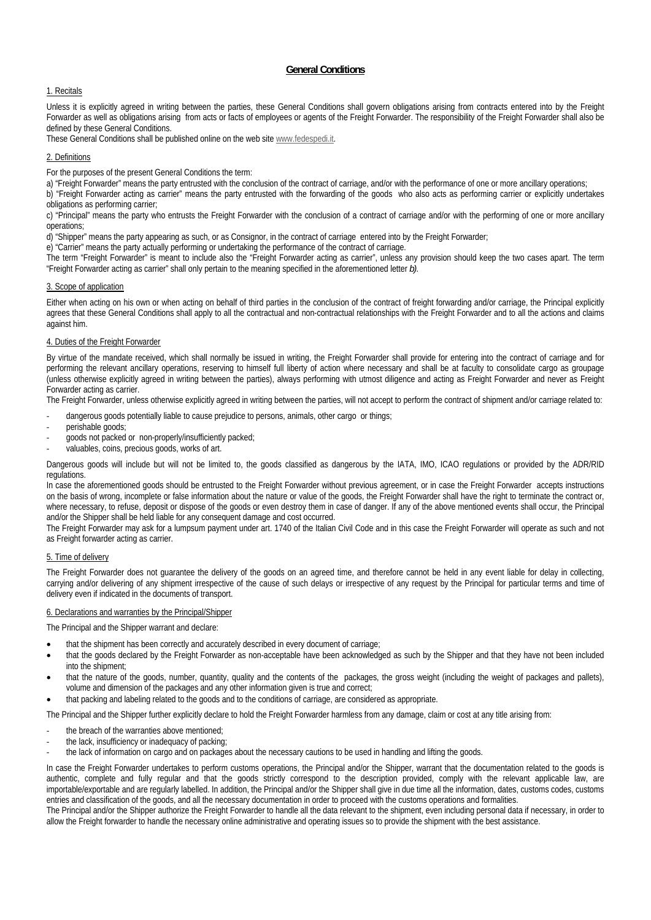# **General Conditions**

## 1. Recitals

Unless it is explicitly agreed in writing between the parties, these General Conditions shall govern obligations arising from contracts entered into by the Freight Forwarder as well as obligations arising from acts or facts of employees or agents of the Freight Forwarder. The responsibility of the Freight Forwarder shall also be defined by these General Conditions.

These General Conditions shall be published online on the web site www.fedespedi.it.

## 2. Definitions

For the purposes of the present General Conditions the term:

a) "Freight Forwarder" means the party entrusted with the conclusion of the contract of carriage, and/or with the performance of one or more ancillary operations;

b) "Freight Forwarder acting as carrier" means the party entrusted with the forwarding of the goods who also acts as performing carrier or explicitly undertakes obligations as performing carrier;

c) "Principal" means the party who entrusts the Freight Forwarder with the conclusion of a contract of carriage and/or with the performing of one or more ancillary operations;

d) "Shipper" means the party appearing as such, or as Consignor, in the contract of carriage entered into by the Freight Forwarder;

e) "Carrier" means the party actually performing or undertaking the performance of the contract of carriage.

The term "Freight Forwarder" is meant to include also the "Freight Forwarder acting as carrier", unless any provision should keep the two cases apart. The term "Freight Forwarder acting as carrier" shall only pertain to the meaning specified in the aforementioned letter *b)*.

### 3. Scope of application

Either when acting on his own or when acting on behalf of third parties in the conclusion of the contract of freight forwarding and/or carriage, the Principal explicitly agrees that these General Conditions shall apply to all the contractual and non-contractual relationships with the Freight Forwarder and to all the actions and claims against him.

# 4. Duties of the Freight Forwarder

By virtue of the mandate received, which shall normally be issued in writing, the Freight Forwarder shall provide for entering into the contract of carriage and for performing the relevant ancillary operations, reserving to himself full liberty of action where necessary and shall be at faculty to consolidate cargo as groupage (unless otherwise explicitly agreed in writing between the parties), always performing with utmost diligence and acting as Freight Forwarder and never as Freight Forwarder acting as carrier.

The Freight Forwarder, unless otherwise explicitly agreed in writing between the parties, will not accept to perform the contract of shipment and/or carriage related to:

- dangerous goods potentially liable to cause prejudice to persons, animals, other cargo or things;
- ‐ perishable goods;
- ‐ goods not packed or non-properly/insufficiently packed;
- valuables, coins, precious goods, works of art.

Dangerous goods will include but will not be limited to, the goods classified as dangerous by the IATA, IMO, ICAO regulations or provided by the ADR/RID regulations.

In case the aforementioned goods should be entrusted to the Freight Forwarder without previous agreement, or in case the Freight Forwarder accepts instructions on the basis of wrong, incomplete or false information about the nature or value of the goods, the Freight Forwarder shall have the right to terminate the contract or, where necessary, to refuse, deposit or dispose of the goods or even destroy them in case of danger. If any of the above mentioned events shall occur, the Principal and/or the Shipper shall be held liable for any consequent damage and cost occurred.

The Freight Forwarder may ask for a lumpsum payment under art. 1740 of the Italian Civil Code and in this case the Freight Forwarder will operate as such and not as Freight forwarder acting as carrier.

## 5. Time of delivery

The Freight Forwarder does not guarantee the delivery of the goods on an agreed time, and therefore cannot be held in any event liable for delay in collecting, carrying and/or delivering of any shipment irrespective of the cause of such delays or irrespective of any request by the Principal for particular terms and time of delivery even if indicated in the documents of transport.

## 6. Declarations and warranties by the Principal/Shipper

The Principal and the Shipper warrant and declare:

- that the shipment has been correctly and accurately described in every document of carriage;
- that the goods declared by the Freight Forwarder as non-acceptable have been acknowledged as such by the Shipper and that they have not been included into the shipment;
- that the nature of the goods, number, quantity, quality and the contents of the packages, the gross weight (including the weight of packages and pallets), volume and dimension of the packages and any other information given is true and correct;
- that packing and labeling related to the goods and to the conditions of carriage, are considered as appropriate.

The Principal and the Shipper further explicitly declare to hold the Freight Forwarder harmless from any damage, claim or cost at any title arising from:

- the breach of the warranties above mentioned;
- the lack, insufficiency or inadequacy of packing;
- the lack of information on cargo and on packages about the necessary cautions to be used in handling and lifting the goods.

In case the Freight Forwarder undertakes to perform customs operations, the Principal and/or the Shipper, warrant that the documentation related to the goods is authentic, complete and fully regular and that the goods strictly correspond to the description provided, comply with the relevant applicable law, are importable/exportable and are regularly labelled. In addition, the Principal and/or the Shipper shall give in due time all the information, dates, customs codes, customs entries and classification of the goods, and all the necessary documentation in order to proceed with the customs operations and formalities.

The Principal and/or the Shipper authorize the Freight Forwarder to handle all the data relevant to the shipment, even including personal data if necessary, in order to allow the Freight forwarder to handle the necessary online administrative and operating issues so to provide the shipment with the best assistance.